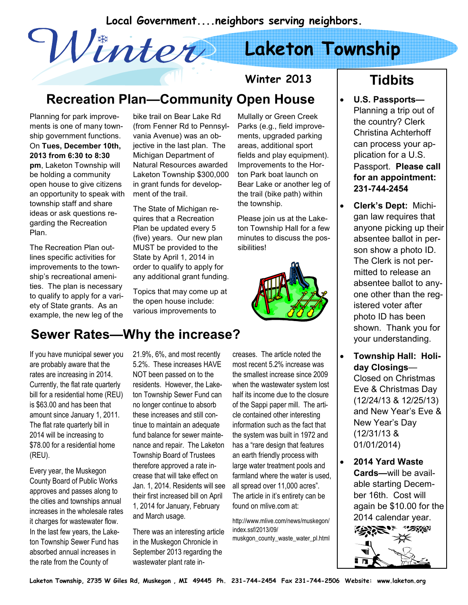Local Government....neighbors serving neighbors.<br>
Caketon Town

# Laketon Township

### Recreation Plan—Community Open House

Planning for park improvements is one of many township government functions. On Tues, December 10th, 2013 from 6:30 to 8:30 pm, Laketon Township will be holding a community open house to give citizens an opportunity to speak with township staff and share ideas or ask questions regarding the Recreation Plan.

The Recreation Plan outlines specific activities for improvements to the township's recreational amenities. The plan is necessary to qualify to apply for a variety of State grants. As an example, the new leg of the bike trail on Bear Lake Rd (from Fenner Rd to Pennsylvania Avenue) was an objective in the last plan. The Michigan Department of Natural Resources awarded Laketon Township \$300,000 in grant funds for development of the trail.

The State of Michigan requires that a Recreation Plan be updated every 5 (five) years. Our new plan MUST be provided to the State by April 1, 2014 in order to qualify to apply for any additional grant funding.

Topics that may come up at the open house include: various improvements to

Mullally or Green Creek Parks (e.g., field improvements, upgraded parking areas, additional sport fields and play equipment). Improvements to the Horton Park boat launch on Bear Lake or another leg of the trail (bike path) within the township.

Winter 2013

Please join us at the Laketon Township Hall for a few minutes to discuss the possibilities!



#### If you have municipal sewer you 21.9%, 6%, and most recently Sewer Rates—Why the increase?

are probably aware that the rates are increasing in 2014. Currently, the flat rate quarterly bill for a residential home (REU) is \$63.00 and has been that amount since January 1, 2011. The flat rate quarterly bill in 2014 will be increasing to \$78.00 for a residential home (REU).

Every year, the Muskegon County Board of Public Works approves and passes along to the cities and townships annual increases in the wholesale rates it charges for wastewater flow. In the last few years, the Laketon Township Sewer Fund has absorbed annual increases in the rate from the County of

5.2%. These increases HAVE NOT been passed on to the residents. However, the Laketon Township Sewer Fund can no longer continue to absorb these increases and still continue to maintain an adequate fund balance for sewer maintenance and repair. The Laketon Township Board of Trustees therefore approved a rate increase that will take effect on Jan. 1, 2014. Residents will see their first increased bill on April 1, 2014 for January, February and March usage.

There was an interesting article in the Muskegon Chronicle in September 2013 regarding the wastewater plant rate increases. The article noted the most recent 5.2% increase was the smallest increase since 2009 when the wastewater system lost half its income due to the closure of the Sappi paper mill. The article contained other interesting information such as the fact that the system was built in 1972 and has a "rare design that features an earth friendly process with large water treatment pools and farmland where the water is used, all spread over 11,000 acres". The article in it's entirety can be found on mlive.com at:

http://www.mlive.com/news/muskegon/ index.ssf/2013/09/ muskgon\_county\_waste\_water\_pl.html

#### **Tidbits**

- U.S. Passports— Planning a trip out of the country? Clerk Christina Achterhoff can process your application for a U.S. Passport. Please call for an appointment: 231-744-2454
- Clerk's Dept: Michigan law requires that anyone picking up their absentee ballot in person show a photo ID. The Clerk is not permitted to release an absentee ballot to anyone other than the registered voter after photo ID has been shown. Thank you for your understanding.
- Township Hall: Holiday Closings— Closed on Christmas Eve & Christmas Day (12/24/13 & 12/25/13) and New Year's Eve & New Year's Day (12/31/13 & 01/01/2014)
- 2014 Yard Waste Cards—will be available starting December 16th. Cost will again be \$10.00 for the 2014 calendar year.